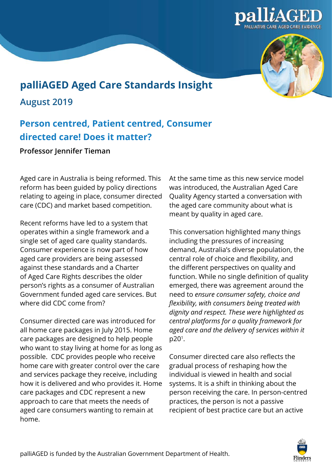



## **palliAGED Aged Care Standards Insight**

**August 2019** 

## **Person centred, Patient centred, Consumer directed care! Does it matter?**

**Professor Jennifer Tieman** 

Aged care in Australia is being reformed. This reform has been guided by policy directions relating to ageing in place, consumer directed care (CDC) and market based competition.

Recent reforms have led to a system that operates within a single framework and a single set of aged care quality standards. Consumer experience is now part of how aged care providers are being assessed against these standards and a Charter of Aged Care Rights describes the older person's rights as a consumer of Australian Government funded aged care services. But where did CDC come from?

Consumer directed care was introduced for all home care packages in July 2015. Home care packages are designed to help people who want to stay living at home for as long as possible. CDC provides people who receive home care with greater control over the care and services package they receive, including how it is delivered and who provides it. Home care packages and CDC represent a new approach to care that meets the needs of aged care consumers wanting to remain at home.

At the same time as this new service model was introduced, the Australian Aged Care Quality Agency started a conversation with the aged care community about what is meant by quality in aged care.

This conversation highlighted many things including the pressures of increasing demand, Australia's diverse population, the central role of choice and flexibility, and the different perspectives on quality and function. While no single definition of quality emerged, there was agreement around the need to *ensure consumer safety, choice and flexibility, with consumers being treated with dignity and respect. These were highlighted as central platforms for a quality framework for aged care and the delivery of services within it*  p201.

Consumer directed care also reflects the gradual process of reshaping how the individual is viewed in health and social systems. It is a shift in thinking about the person receiving the care. In person-centred practices, the person is not a passive recipient of best practice care but an active